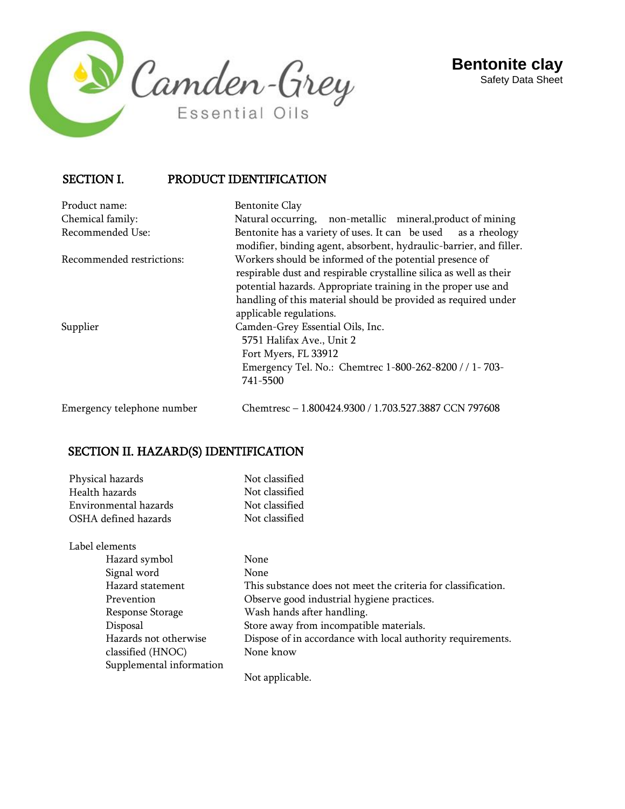



## SECTION I. PRODUCT IDENTIFICATION

Product name: Bentonite Clay

Chemical family: Natural occurring, non-metallic mineral,product of mining Recommended Use: Bentonite has a variety of uses. It can be used as a rheology modifier, binding agent, absorbent, hydraulic-barrier, and filler. Recommended restrictions: Workers should be informed of the potential presence of respirable dust and respirable crystalline silica as well as their potential hazards. Appropriate training in the proper use and handling of this material should be provided as required under applicable regulations. Supplier Camden-Grey Essential Oils, Inc. 5751 Halifax Ave., Unit 2 Fort Myers, FL 33912 Emergency Tel. No.: Chemtrec 1-800-262-8200 / / 1- 703- 741-5500

Emergency telephone number Chemtresc – 1.800424.9300 / 1.703.527.3887 CCN 797608

#### SECTION II. HAZARD(S) IDENTIFICATION

| Physical hazards         | Not classified                                                |
|--------------------------|---------------------------------------------------------------|
| Health hazards           | Not classified                                                |
| Environmental hazards    | Not classified                                                |
| OSHA defined hazards     | Not classified                                                |
| Label elements           |                                                               |
| Hazard symbol            | None                                                          |
| Signal word              | <b>None</b>                                                   |
| Hazard statement         | This substance does not meet the criteria for classification. |
| Prevention               | Observe good industrial hygiene practices.                    |
| Response Storage         | Wash hands after handling.                                    |
| Disposal                 | Store away from incompatible materials.                       |
| Hazards not otherwise    | Dispose of in accordance with local authority requirements.   |
| classified (HNOC)        | None know                                                     |
| Supplemental information |                                                               |
|                          | Not applicable.                                               |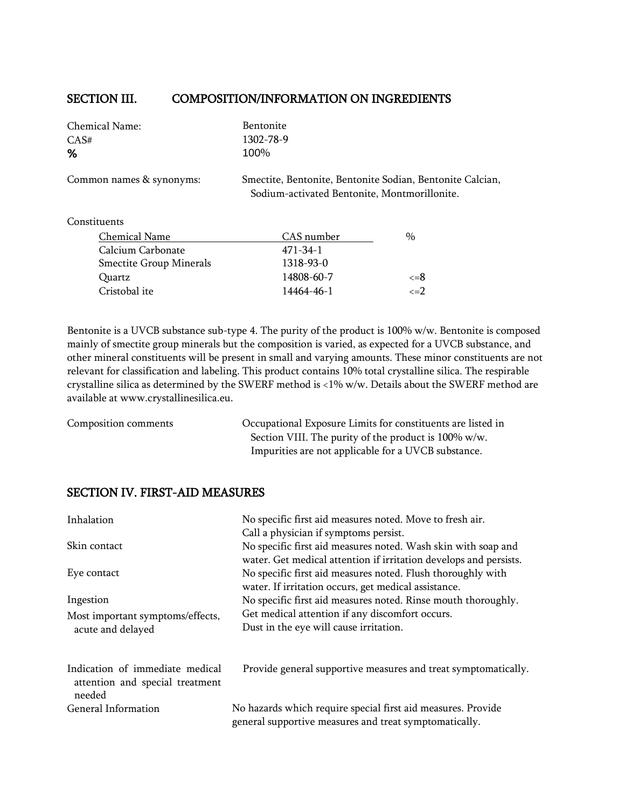#### SECTION III. COMPOSITION/INFORMATION ON INGREDIENTS

| Chemical Name:                 | Bentonite                                                                                                 |      |
|--------------------------------|-----------------------------------------------------------------------------------------------------------|------|
| CAS#                           | 1302-78-9                                                                                                 |      |
| %                              | 100%                                                                                                      |      |
| Common names & synonyms:       | Smectite, Bentonite, Bentonite Sodian, Bentonite Calcian,<br>Sodium-activated Bentonite, Montmorillonite. |      |
| Constituents                   |                                                                                                           |      |
| Chemical Name                  | CAS number                                                                                                | $\%$ |
| $\alpha$ 1 $\alpha$ 1 $\alpha$ | $1 - 1 - 1$                                                                                               |      |

| Sucureal Fame                  | <u>uno humot</u> | $\lambda$      |
|--------------------------------|------------------|----------------|
| Calcium Carbonate              | 471-34-1         |                |
| <b>Smectite Group Minerals</b> | 1318-93-0        |                |
| Quartz                         | 14808-60-7       | <=8            |
| Cristobal ite                  | 14464-46-1       | $\epsilon = 2$ |
|                                |                  |                |

Bentonite is a UVCB substance sub-type 4. The purity of the product is 100% w/w. Bentonite is composed mainly of smectite group minerals but the composition is varied, as expected for a UVCB substance, and other mineral constituents will be present in small and varying amounts. These minor constituents are not relevant for classification and labeling. This product contains 10% total crystalline silica. The respirable crystalline silica as determined by the SWERF method is <1% w/w. Details about the SWERF method are available at [www.crystallinesilica.eu.](http://www.crystallinesilica.eu/)

Composition comments Occupational Exposure Limits for constituents are listed in Section VIII. The purity of the product is 100% w/w. Impurities are not applicable for a UVCB substance.

#### SECTION IV. FIRST-AID MEASURES

| Inhalation                                | No specific first aid measures noted. Move to fresh air.          |
|-------------------------------------------|-------------------------------------------------------------------|
|                                           | Call a physician if symptoms persist.                             |
| Skin contact                              | No specific first aid measures noted. Wash skin with soap and     |
|                                           | water. Get medical attention if irritation develops and persists. |
| Eye contact                               | No specific first aid measures noted. Flush thoroughly with       |
|                                           | water. If irritation occurs, get medical assistance.              |
| Ingestion                                 | No specific first aid measures noted. Rinse mouth thoroughly.     |
| Most important symptoms/effects,          | Get medical attention if any discomfort occurs.                   |
| acute and delayed                         | Dust in the eye will cause irritation.                            |
| Indication of immediate medical           | Provide general supportive measures and treat symptomatically.    |
| attention and special treatment<br>needed |                                                                   |
| General Information                       | No hazards which require special first aid measures. Provide      |
|                                           | general supportive measures and treat symptomatically.            |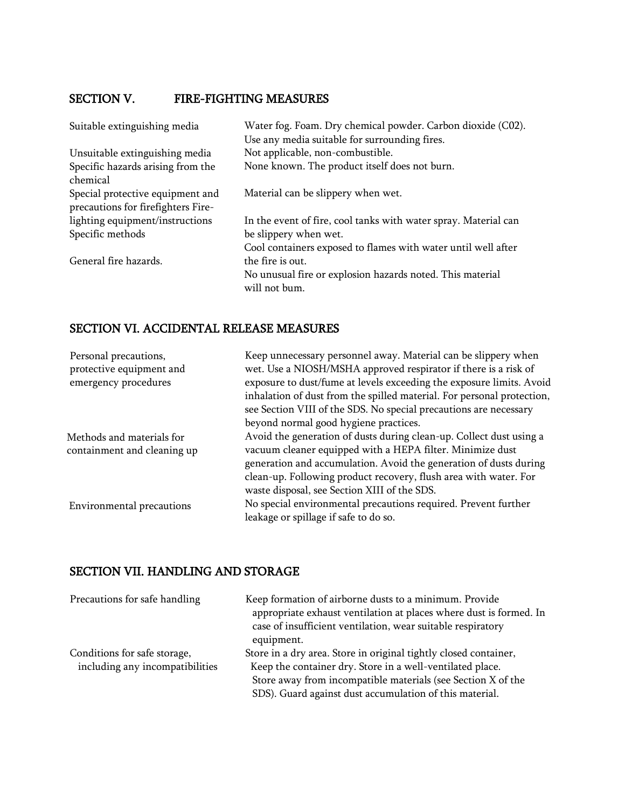# SECTION V. FIRE-FIGHTING MEASURES

| Suitable extinguishing media                                           | Water fog. Foam. Dry chemical powder. Carbon dioxide (C02).     |
|------------------------------------------------------------------------|-----------------------------------------------------------------|
|                                                                        | Use any media suitable for surrounding fires.                   |
| Unsuitable extinguishing media                                         | Not applicable, non-combustible.                                |
| Specific hazards arising from the                                      | None known. The product itself does not burn.                   |
| chemical                                                               |                                                                 |
| Special protective equipment and<br>precautions for firefighters Fire- | Material can be slippery when wet.                              |
| lighting equipment/instructions                                        | In the event of fire, cool tanks with water spray. Material can |
| Specific methods                                                       | be slippery when wet.                                           |
|                                                                        | Cool containers exposed to flames with water until well after   |
| General fire hazards.                                                  | the fire is out.                                                |
|                                                                        | No unusual fire or explosion hazards noted. This material       |
|                                                                        | will not bum.                                                   |

# SECTION VI. ACCIDENTAL RELEASE MEASURES

| Keep unnecessary personnel away. Material can be slippery when         |
|------------------------------------------------------------------------|
| wet. Use a NIOSH/MSHA approved respirator if there is a risk of        |
| exposure to dust/fume at levels exceeding the exposure limits. Avoid   |
| inhalation of dust from the spilled material. For personal protection, |
| see Section VIII of the SDS. No special precautions are necessary      |
| beyond normal good hygiene practices.                                  |
| Avoid the generation of dusts during clean-up. Collect dust using a    |
| vacuum cleaner equipped with a HEPA filter. Minimize dust              |
| generation and accumulation. Avoid the generation of dusts during      |
| clean-up. Following product recovery, flush area with water. For       |
| waste disposal, see Section XIII of the SDS.                           |
| No special environmental precautions required. Prevent further         |
| leakage or spillage if safe to do so.                                  |
|                                                                        |

# SECTION VII. HANDLING AND STORAGE

| Precautions for safe handling                                   | Keep formation of airborne dusts to a minimum. Provide<br>appropriate exhaust ventilation at places where dust is formed. In<br>case of insufficient ventilation, wear suitable respiratory<br>equipment.                                                |
|-----------------------------------------------------------------|----------------------------------------------------------------------------------------------------------------------------------------------------------------------------------------------------------------------------------------------------------|
| Conditions for safe storage,<br>including any incompatibilities | Store in a dry area. Store in original tightly closed container,<br>Keep the container dry. Store in a well-ventilated place.<br>Store away from incompatible materials (see Section X of the<br>SDS). Guard against dust accumulation of this material. |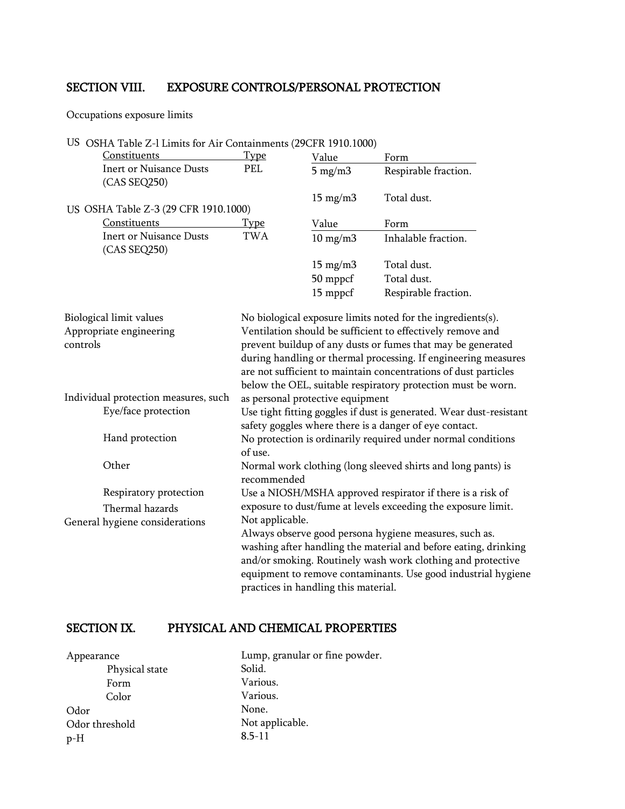# SECTION VIII. EXPOSURE CONTROLS/PERSONAL PROTECTION

Occupations exposure limits

#### US OSHA Table Z-l Limits for Air Containments (29CFR 1910.1000)

| Constituents                                                   | <b>Type</b>     | Value                                | Form                                                                                                                                                                                                                                                                                                                                                                                          |
|----------------------------------------------------------------|-----------------|--------------------------------------|-----------------------------------------------------------------------------------------------------------------------------------------------------------------------------------------------------------------------------------------------------------------------------------------------------------------------------------------------------------------------------------------------|
| <b>Inert or Nuisance Dusts</b><br>(CAS SEQ250)                 | PEL             | $5 \text{ mg/m}$                     | Respirable fraction.                                                                                                                                                                                                                                                                                                                                                                          |
|                                                                |                 | $15 \text{ mg/m}$                    | Total dust.                                                                                                                                                                                                                                                                                                                                                                                   |
| US OSHA Table Z-3 (29 CFR 1910.1000)                           |                 |                                      |                                                                                                                                                                                                                                                                                                                                                                                               |
| Constituents                                                   | <b>Type</b>     | Value                                | Form                                                                                                                                                                                                                                                                                                                                                                                          |
| <b>Inert or Nuisance Dusts</b><br>(CAS SEQ250)                 | <b>TWA</b>      | $10 \text{ mg/m}$                    | Inhalable fraction.                                                                                                                                                                                                                                                                                                                                                                           |
|                                                                |                 | $15 \text{ mg/m}$                    | Total dust.                                                                                                                                                                                                                                                                                                                                                                                   |
|                                                                |                 | 50 mppcf                             | Total dust.                                                                                                                                                                                                                                                                                                                                                                                   |
|                                                                |                 | 15 mppcf                             | Respirable fraction.                                                                                                                                                                                                                                                                                                                                                                          |
| Biological limit values<br>Appropriate engineering<br>controls |                 |                                      | No biological exposure limits noted for the ingredients(s).<br>Ventilation should be sufficient to effectively remove and<br>prevent buildup of any dusts or fumes that may be generated<br>during handling or thermal processing. If engineering measures<br>are not sufficient to maintain concentrations of dust particles<br>below the OEL, suitable respiratory protection must be worn. |
| Individual protection measures, such                           |                 | as personal protective equipment     |                                                                                                                                                                                                                                                                                                                                                                                               |
| Eye/face protection                                            |                 |                                      | Use tight fitting goggles if dust is generated. Wear dust-resistant<br>safety goggles where there is a danger of eye contact.                                                                                                                                                                                                                                                                 |
| Hand protection                                                | of use.         |                                      | No protection is ordinarily required under normal conditions                                                                                                                                                                                                                                                                                                                                  |
| Other                                                          | recommended     |                                      | Normal work clothing (long sleeved shirts and long pants) is                                                                                                                                                                                                                                                                                                                                  |
| Respiratory protection                                         |                 |                                      | Use a NIOSH/MSHA approved respirator if there is a risk of                                                                                                                                                                                                                                                                                                                                    |
| Thermal hazards                                                |                 |                                      | exposure to dust/fume at levels exceeding the exposure limit.                                                                                                                                                                                                                                                                                                                                 |
| General hygiene considerations                                 | Not applicable. |                                      |                                                                                                                                                                                                                                                                                                                                                                                               |
|                                                                |                 | practices in handling this material. | Always observe good persona hygiene measures, such as.<br>washing after handling the material and before eating, drinking<br>and/or smoking. Routinely wash work clothing and protective<br>equipment to remove contaminants. Use good industrial hygiene                                                                                                                                     |

# SECTION IX. PHYSICAL AND CHEMICAL PROPERTIES

| Appearance     | Lump, granular or fine powder. |
|----------------|--------------------------------|
| Physical state | Solid.                         |
| Form           | Various.                       |
| Color          | Various.                       |
| Odor           | None.                          |
| Odor threshold | Not applicable.                |
| $p-H$          | $8.5 - 11$                     |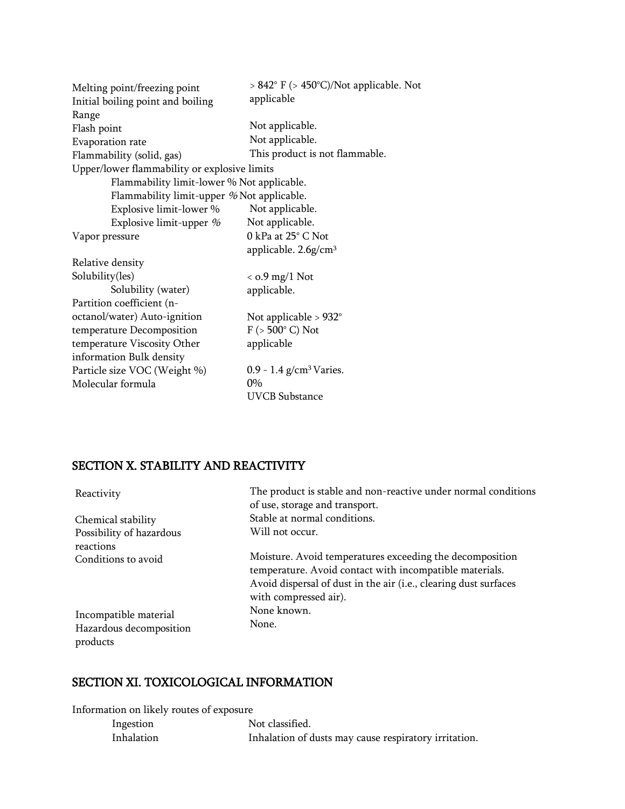| Melting point/freezing point                 | $> 842^{\circ}$ F ( $> 450^{\circ}$ C)/Not applicable. Not |
|----------------------------------------------|------------------------------------------------------------|
| Initial boiling point and boiling            | applicable                                                 |
| Range                                        |                                                            |
| Flash point                                  | Not applicable.                                            |
| Evaporation rate                             | Not applicable.                                            |
| Flammability (solid, gas)                    | This product is not flammable.                             |
| Upper/lower flammability or explosive limits |                                                            |
| Flammability limit-lower % Not applicable.   |                                                            |
| Flammability limit-upper % Not applicable.   |                                                            |
| Explosive limit-lower %                      | Not applicable.                                            |
| Explosive limit-upper $%$                    | Not applicable.                                            |
| Vapor pressure                               | 0 kPa at 25° C Not                                         |
|                                              | applicable. $2.6g/cm3$                                     |
| Relative density                             |                                                            |
| Solubility(les)                              | $<$ 0.9 mg/1 Not                                           |
| Solubility (water)                           | applicable.                                                |
| Partition coefficient (n-                    |                                                            |
| octanol/water) Auto-ignition                 | Not applicable $> 932^\circ$                               |
| temperature Decomposition                    | $F$ ( $> 500^{\circ}$ C) Not                               |
| temperature Viscosity Other                  | applicable                                                 |
| information Bulk density                     |                                                            |
| Particle size VOC (Weight %)                 | 0.9 - 1.4 $g/cm3 Varies.$                                  |
| Molecular formula                            | $0\%$                                                      |
|                                              | <b>UVCB</b> Substance                                      |

# SECTION X. STABILITY AND REACTIVITY

| Reactivity                            | The product is stable and non-reactive under normal conditions<br>of use, storage and transport.                                                                                                                 |
|---------------------------------------|------------------------------------------------------------------------------------------------------------------------------------------------------------------------------------------------------------------|
| Chemical stability                    | Stable at normal conditions.                                                                                                                                                                                     |
| Possibility of hazardous<br>reactions | Will not occur.                                                                                                                                                                                                  |
| Conditions to avoid                   | Moisture. Avoid temperatures exceeding the decomposition<br>temperature. Avoid contact with incompatible materials.<br>Avoid dispersal of dust in the air (i.e., clearing dust surfaces<br>with compressed air). |
| Incompatible material                 | None known.                                                                                                                                                                                                      |
| Hazardous decomposition<br>products   | None.                                                                                                                                                                                                            |

# SECTION XI. TOXICOLOGICAL INFORMATION

Information on likely routes of exposure

| Ingestion         | Not classified.                                       |
|-------------------|-------------------------------------------------------|
| <b>Inhalation</b> | Inhalation of dusts may cause respiratory irritation. |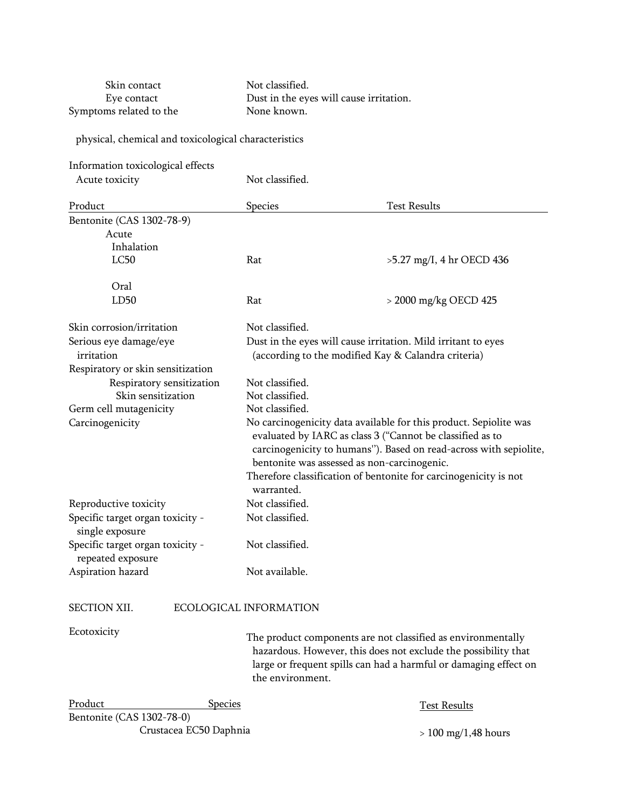Skin contact Not classified. Eye contact Dust in the eyes will cause irritation. Symptoms related to the None known.

#### physical, chemical and toxicological characteristics

| Information toxicological effects                     |                                                                                                                                                                                                                                                    |                                                               |  |
|-------------------------------------------------------|----------------------------------------------------------------------------------------------------------------------------------------------------------------------------------------------------------------------------------------------------|---------------------------------------------------------------|--|
| Acute toxicity                                        | Not classified.                                                                                                                                                                                                                                    |                                                               |  |
| Product                                               | Species                                                                                                                                                                                                                                            | <b>Test Results</b>                                           |  |
| Bentonite (CAS 1302-78-9)                             |                                                                                                                                                                                                                                                    |                                                               |  |
| Acute                                                 |                                                                                                                                                                                                                                                    |                                                               |  |
| Inhalation                                            |                                                                                                                                                                                                                                                    |                                                               |  |
| LC50                                                  | Rat                                                                                                                                                                                                                                                | $>5.27$ mg/I, 4 hr OECD 436                                   |  |
| Oral                                                  |                                                                                                                                                                                                                                                    |                                                               |  |
| LD50                                                  | Rat                                                                                                                                                                                                                                                | > 2000 mg/kg OECD 425                                         |  |
| Skin corrosion/irritation                             | Not classified.                                                                                                                                                                                                                                    |                                                               |  |
| Serious eye damage/eye                                |                                                                                                                                                                                                                                                    | Dust in the eyes will cause irritation. Mild irritant to eyes |  |
| irritation                                            | (according to the modified Kay & Calandra criteria)                                                                                                                                                                                                |                                                               |  |
| Respiratory or skin sensitization                     |                                                                                                                                                                                                                                                    |                                                               |  |
| Respiratory sensitization                             | Not classified.                                                                                                                                                                                                                                    |                                                               |  |
| Skin sensitization                                    | Not classified.                                                                                                                                                                                                                                    |                                                               |  |
| Germ cell mutagenicity                                | Not classified.                                                                                                                                                                                                                                    |                                                               |  |
| Carcinogenicity                                       | No carcinogenicity data available for this product. Sepiolite was<br>evaluated by IARC as class 3 ("Cannot be classified as to<br>carcinogenicity to humans"). Based on read-across with sepiolite,<br>bentonite was assessed as non-carcinogenic. |                                                               |  |
|                                                       | Therefore classification of bentonite for carcinogenicity is not                                                                                                                                                                                   |                                                               |  |
|                                                       | warranted.                                                                                                                                                                                                                                         |                                                               |  |
| Reproductive toxicity                                 | Not classified.                                                                                                                                                                                                                                    |                                                               |  |
| Specific target organ toxicity -<br>single exposure   | Not classified.                                                                                                                                                                                                                                    |                                                               |  |
| Specific target organ toxicity -<br>repeated exposure | Not classified.                                                                                                                                                                                                                                    |                                                               |  |
| Aspiration hazard                                     | Not available.                                                                                                                                                                                                                                     |                                                               |  |
| SECTION XII.                                          | ECOLOGICAL INFORMATION                                                                                                                                                                                                                             |                                                               |  |
| Ecotoxicity                                           |                                                                                                                                                                                                                                                    |                                                               |  |

Ex<sup>y</sup> The product components are not classified as environmentally hazardous. However, this does not exclude the possibility that large or frequent spills can had a harmful or damaging effect on the environment.

| Product                   | <b>Species</b>         | Test Results          |
|---------------------------|------------------------|-----------------------|
| Bentonite (CAS 1302-78-0) |                        |                       |
|                           | Crustacea EC50 Daphnia | $> 100$ mg/1,48 hours |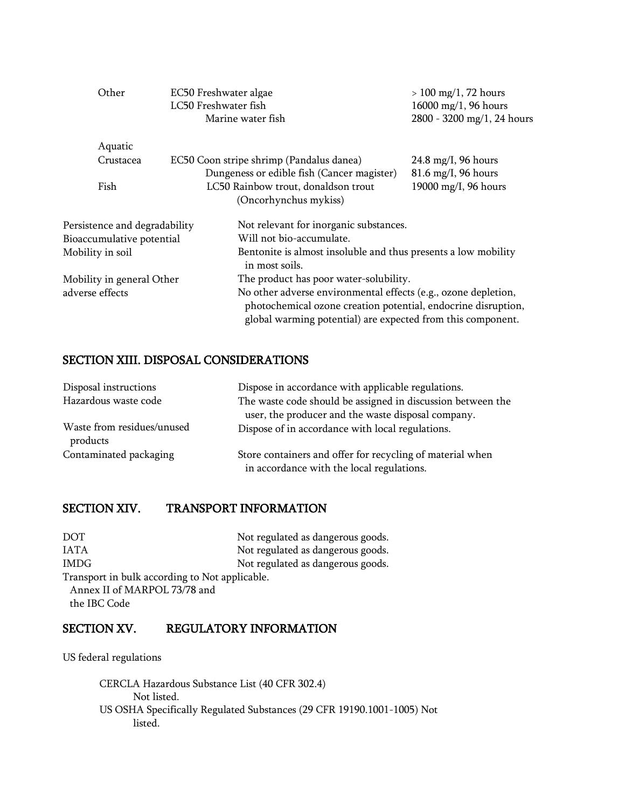| Other                         | EC50 Freshwater algae<br>LC50 Freshwater fish | Marine water fish                                                                                                                                                                              | $> 100$ mg/1, 72 hours<br>$16000 \,\mathrm{mg}/1, 96 \,\mathrm{hours}$<br>2800 - 3200 mg/1, 24 hours |
|-------------------------------|-----------------------------------------------|------------------------------------------------------------------------------------------------------------------------------------------------------------------------------------------------|------------------------------------------------------------------------------------------------------|
| Aquatic                       |                                               |                                                                                                                                                                                                |                                                                                                      |
| Crustacea                     |                                               | EC50 Coon stripe shrimp (Pandalus danea)                                                                                                                                                       | $24.8 \text{ mg/I}$ , 96 hours                                                                       |
|                               |                                               | Dungeness or edible fish (Cancer magister)                                                                                                                                                     | $81.6$ mg/I, 96 hours                                                                                |
| Fish                          |                                               | LC50 Rainbow trout, donaldson trout                                                                                                                                                            | 19000 mg/I, 96 hours                                                                                 |
|                               |                                               | (Oncorhynchus mykiss)                                                                                                                                                                          |                                                                                                      |
| Persistence and degradability |                                               | Not relevant for inorganic substances.                                                                                                                                                         |                                                                                                      |
| Bioaccumulative potential     |                                               | Will not bio-accumulate.                                                                                                                                                                       |                                                                                                      |
| Mobility in soil              |                                               | Bentonite is almost insoluble and thus presents a low mobility<br>in most soils.                                                                                                               |                                                                                                      |
| Mobility in general Other     |                                               | The product has poor water-solubility.                                                                                                                                                         |                                                                                                      |
| adverse effects               |                                               | No other adverse environmental effects (e.g., ozone depletion,<br>photochemical ozone creation potential, endocrine disruption,<br>global warming potential) are expected from this component. |                                                                                                      |

# SECTION XIII. DISPOSAL CONSIDERATIONS

| Disposal instructions                  | Dispose in accordance with applicable regulations.                                                     |
|----------------------------------------|--------------------------------------------------------------------------------------------------------|
| Hazardous waste code                   | The waste code should be assigned in discussion between the                                            |
|                                        | user, the producer and the waste disposal company.                                                     |
| Waste from residues/unused<br>products | Dispose of in accordance with local regulations.                                                       |
| Contaminated packaging                 | Store containers and offer for recycling of material when<br>in accordance with the local regulations. |

# SECTION XIV. TRANSPORT INFORMATION

| DOT                                            | Not regulated as dangerous goods. |
|------------------------------------------------|-----------------------------------|
| <b>JATA</b>                                    | Not regulated as dangerous goods. |
| <b>IMDG</b>                                    | Not regulated as dangerous goods. |
| Transport in bulk according to Not applicable. |                                   |
| Annex II of MARPOL 73/78 and                   |                                   |
| the IBC Code                                   |                                   |

#### SECTION XV. REGULATORY INFORMATION

US federal regulations

CERCLA Hazardous Substance List (40 CFR 302.4) Not listed. US OSHA Specifically Regulated Substances (29 CFR 19190.1001-1005) Not listed.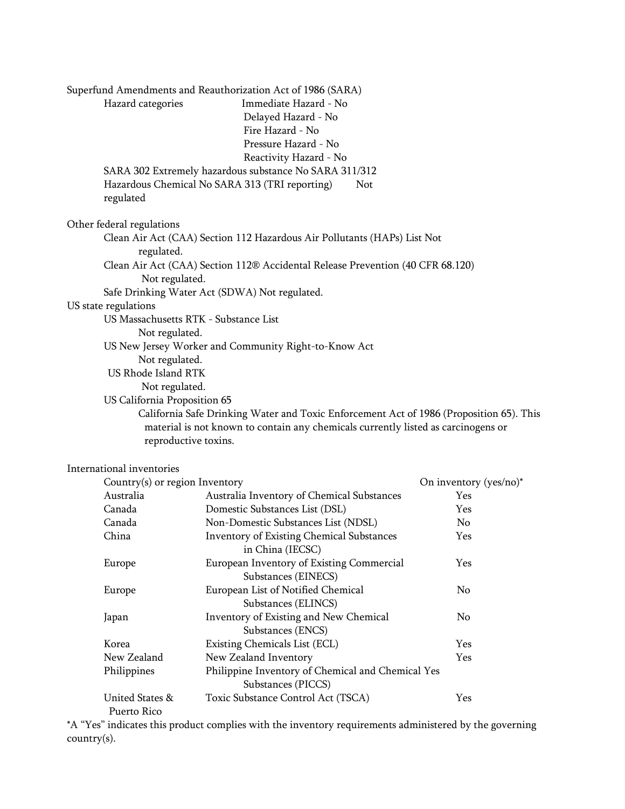| Superfund Amendments and Reauthorization Act of 1986 (SARA)<br>Immediate Hazard - No<br>Hazard categories<br>Delayed Hazard - No<br>Fire Hazard - No<br>Pressure Hazard - No<br>Reactivity Hazard - No |
|--------------------------------------------------------------------------------------------------------------------------------------------------------------------------------------------------------|
| SARA 302 Extremely hazardous substance No SARA 311/312                                                                                                                                                 |
| Hazardous Chemical No SARA 313 (TRI reporting)<br><b>Not</b><br>regulated                                                                                                                              |
| Other federal regulations                                                                                                                                                                              |
| Clean Air Act (CAA) Section 112 Hazardous Air Pollutants (HAPs) List Not                                                                                                                               |
| regulated.                                                                                                                                                                                             |
| Clean Air Act (CAA) Section 112® Accidental Release Prevention (40 CFR 68.120)                                                                                                                         |
| Not regulated.                                                                                                                                                                                         |
| Safe Drinking Water Act (SDWA) Not regulated.                                                                                                                                                          |
| US state regulations                                                                                                                                                                                   |
| US Massachusetts RTK - Substance List                                                                                                                                                                  |
| Not regulated.                                                                                                                                                                                         |
| US New Jersey Worker and Community Right-to-Know Act                                                                                                                                                   |
| Not regulated.                                                                                                                                                                                         |
| US Rhode Island RTK                                                                                                                                                                                    |
| Not regulated.                                                                                                                                                                                         |
| US California Proposition 65                                                                                                                                                                           |
| California Safe Drinking Water and Toxic Enforcement Act of 1986 (Proposition 65). This                                                                                                                |
| material is not known to contain any chemicals currently listed as carcinogens or<br>reproductive toxins.                                                                                              |
| International inventories                                                                                                                                                                              |

| Country(s) or region Inventory |                                                                         | On inventory $(yes/no)*$ |
|--------------------------------|-------------------------------------------------------------------------|--------------------------|
| Australia                      | Australia Inventory of Chemical Substances                              | <b>Yes</b>               |
| Canada                         | Domestic Substances List (DSL)                                          | <b>Yes</b>               |
| Canada                         | Non-Domestic Substances List (NDSL)                                     | No.                      |
| China                          | <b>Inventory of Existing Chemical Substances</b><br>in China (IECSC)    | <b>Yes</b>               |
| Europe                         | European Inventory of Existing Commercial<br>Substances (EINECS)        | <b>Yes</b>               |
| Europe                         | European List of Notified Chemical<br>Substances (ELINCS)               | No.                      |
| Japan                          | Inventory of Existing and New Chemical<br>Substances (ENCS)             | No.                      |
| Korea                          | Existing Chemicals List (ECL)                                           | <b>Yes</b>               |
| New Zealand                    | New Zealand Inventory                                                   | <b>Yes</b>               |
| Philippines                    | Philippine Inventory of Chemical and Chemical Yes<br>Substances (PICCS) |                          |
| United States &<br>Puerto Rico | Toxic Substance Control Act (TSCA)                                      | Yes                      |

\*A "Yes" indicates this product complies with the inventory requirements administered by the governing country(s).